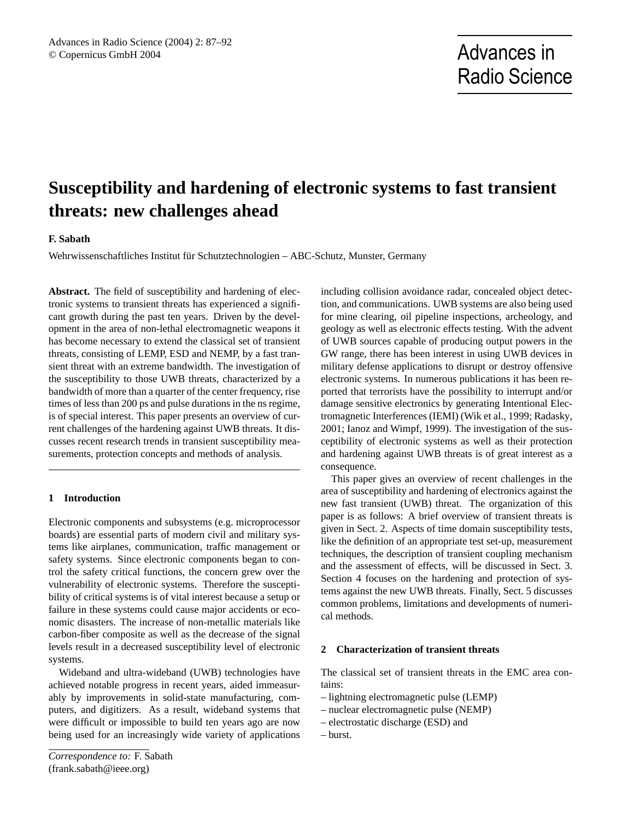# **Susceptibility and hardening of electronic systems to fast transient threats: new challenges ahead**

### **F. Sabath**

Wehrwissenschaftliches Institut für Schutztechnologien – ABC-Schutz, Munster, Germany

**Abstract.** The field of susceptibility and hardening of electronic systems to transient threats has experienced a significant growth during the past ten years. Driven by the development in the area of non-lethal electromagnetic weapons it has become necessary to extend the classical set of transient threats, consisting of LEMP, ESD and NEMP, by a fast transient threat with an extreme bandwidth. The investigation of the susceptibility to those UWB threats, characterized by a bandwidth of more than a quarter of the center frequency, rise times of less than 200 ps and pulse durations in the ns regime, is of special interest. This paper presents an overview of current challenges of the hardening against UWB threats. It discusses recent research trends in transient susceptibility measurements, protection concepts and methods of analysis.

#### **1 Introduction**

Electronic components and subsystems (e.g. microprocessor boards) are essential parts of modern civil and military systems like airplanes, communication, traffic management or safety systems. Since electronic components began to control the safety critical functions, the concern grew over the vulnerability of electronic systems. Therefore the susceptibility of critical systems is of vital interest because a setup or failure in these systems could cause major accidents or economic disasters. The increase of non-metallic materials like carbon-fiber composite as well as the decrease of the signal levels result in a decreased susceptibility level of electronic systems.

Wideband and ultra-wideband (UWB) technologies have achieved notable progress in recent years, aided immeasurably by improvements in solid-state manufacturing, computers, and digitizers. As a result, wideband systems that were difficult or impossible to build ten years ago are now being used for an increasingly wide variety of applications including collision avoidance radar, concealed object detection, and communications. UWB systems are also being used for mine clearing, oil pipeline inspections, archeology, and geology as well as electronic effects testing. With the advent of UWB sources capable of producing output powers in the GW range, there has been interest in using UWB devices in military defense applications to disrupt or destroy offensive electronic systems. In numerous publications it has been reported that terrorists have the possibility to interrupt and/or damage sensitive electronics by generating Intentional Electromagnetic Interferences (IEMI) (Wik et al., 1999; Radasky, 2001; Ianoz and Wimpf, 1999). The investigation of the susceptibility of electronic systems as well as their protection and hardening against UWB threats is of great interest as a consequence.

This paper gives an overview of recent challenges in the area of susceptibility and hardening of electronics against the new fast transient (UWB) threat. The organization of this paper is as follows: A brief overview of transient threats is given in Sect. 2. Aspects of time domain susceptibility tests, like the definition of an appropriate test set-up, measurement techniques, the description of transient coupling mechanism and the assessment of effects, will be discussed in Sect. 3. Section 4 focuses on the hardening and protection of systems against the new UWB threats. Finally, Sect. 5 discusses common problems, limitations and developments of numerical methods.

#### **2 Characterization of transient threats**

The classical set of transient threats in the EMC area contains:

- lightning electromagnetic pulse (LEMP)
- nuclear electromagnetic pulse (NEMP)
- electrostatic discharge (ESD) and
- burst.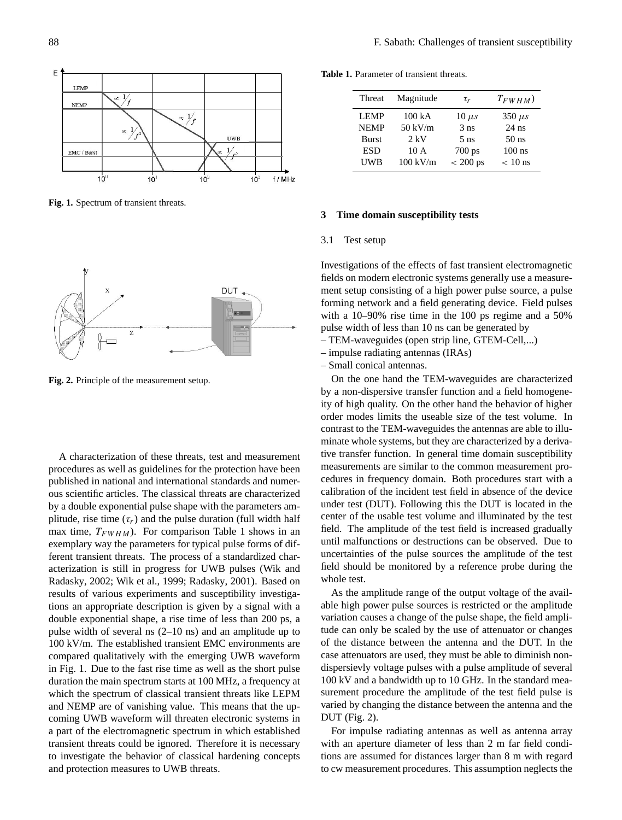

**Fig. 1.** Spectrum of transient threats. **Fig. 1.** Spectrum of transient threats.



**Fig. 2.** Principle of the measurement setup.

A characterization of these threats, test and measurement procedures as well as guidelines for the protection have been<br>
and the protection have been<br>
protection have been published in national and international standards and numerous scientific articles. The classical threats are characterized by a double exponential pulse shape with the parameters amplitude, rise time  $(\tau_r)$  and the pulse duration (full width half max time,  $T_{FWHM}$ ). For comparison Table 1 shows in an exemplary way the parameters for typical pulse forms of different transient threats. The process of a standardized char-<br>had the behavior of less threats. The process of a standardized characterization is still in progress for UWB pulses (Wik and kadasky, 2002; Wik et al., 1999; Radasky, 2001). Based on esults of various experiments and susceptibility investigaform in appropriate description is given by a signal with a shows during a map to make the main shows that  $\frac{200}{100}$  MHz, at 100 MHz, at 100 MHz, at 100 MHz, at 100 MHz, at 100 MHz, at 100 MHz, at 100 MHz, at 100 MHz, at 100 MHz, at 100 MHz, at 100 MHz, at 100 MHz, at 100 MHz, be when of several its  $(2-10)$  its) and an amplitude up to loo KV/m. The established transient ENC environments are  $\sim 1 \times 10^{-4}$ the upcoming UWB waveform in Fig. 1. Due to the fast rise time as well as the short pulse for the use to the tast rise time as went as the short parse<br>duration the main spectrum starts at 100 MHz, a frequency at different threats at 186 fifth, a nequency at which the spectrum of classical transient threats like LEPM and NEMP are of vanishing value. This means that the upcoming UWB waveform will threaten electronic systems in the amplitude range of the output voltage of the amplitude range of the amplitude range of the amplitude range of the availand protection measures to UWB threats. acterization is stift in progress for UWD pulses (WK and<br>Radasky, 2002; Wik et al., 1999; Radasky, 2001). Based on results of various experiments and susceptibility investiga-<br>results of various experiments and susceptibility investigations an appropriate description is given by a signal with a  $t_{\text{total}}$  and a double exponential shape, a rise time of less than 200 ps, a pulse width of several ns  $(2-10 \text{ ns})$  and an amplitude up to Figure with the celular and  $(1 - 2\pi)$  and the mappendum operator. compared qualitatively with the emerging UWB waveform a part of the electromagnetic spectrum in which established transient threats could be ignored. Therefore it is necessary

**Table 1.** Parameter of transient threats.

| Threat       | Magnitude          | $\tau_r$         | $T_{FWHM}$  |
|--------------|--------------------|------------------|-------------|
| <b>LEMP</b>  | 100 <sub>k</sub> A | $10 \mu s$       | $350 \mu s$ |
| <b>NEMP</b>  | $50 \text{ kV/m}$  | $3$ ns           | $24$ ns     |
| <b>Burst</b> | $2 \, \mathrm{kV}$ | 5 <sub>ns</sub>  | $50$ ns     |
| <b>ESD</b>   | 10A                | $700 \text{ ps}$ | $100$ ns    |
| UWB          | $100 \text{ kV/m}$ | $< 200$ ps       | $< 10$ ns   |
|              |                    |                  |             |

# **3** Time domain susceptibility tests

#### forming network and a field generating device. Field pulses  $\text{res}$  is equiped and a  $\text{res}$  regime and a  $\text{res}$  regime and a  $\text{res}$  regime and a  $\text{res}$  regime and a  $\text{res}$  regime and a  $\text{res}$  regime and a  $\text{res}$  regime and a  $\text{res}$  regime and a  $\text{res}$  regime and a  $\text{res}$ 3.1 Test setup

Investigations of the effects of fast transient electromagnetic fields on modern electronic systems generally use a measure-Forming network and a field generating device. Field pulses with a 10–90% rise time in the 100 ps regime and a 50% ment setup consisting of a high power pulse source, a pulse pulse width of less than 10 ns can be generated by

- TEM-waveguides (open strip line, GTEM-Cell,...)
- impulse radiating antennas (IRAs)
- Small conical antennas.

On the one hand the TEM-waveguides are characterized by a non-dispersive transfer function and a field homogeneity of high quality. On the other hand the behavior of higher order modes limits the useable size of the test volume. In contrast to the TEM-waveguides the antennas are able to illuminate whole systems, but they are characterized by a derivative transfer function. In general time domain susceptibility measurements are similar to the common measurement procedures in frequency domain. Both procedures start with a canoration of the increase the test field in absence of the device<br>under test (DUT). Following this the DUT is located in the under test  $(DCT)$ . Following this the  $DCT$  is located in the center of the usable test volume and illuminated by the test field. The amplitude of the test field is increased gradually note. The unphease of the test here is increased gradually until malfunctions or destructions can be observed. Due to uncertainties of the pulse sources the amplitude of the test field should be monitored by a reference probe during the able test. The amplitude or the amplitude or the amplitude or the amplitude or the amplitude or the amplitude or the amplitude or the amplitude or the amplitude or the amplitude or the amplitude or the amplitude or the am calibration of the incident test field in absence of the device whole test.

As the amplitude range of the output voltage of the available high power pulse sources is restricted or the amplitude variation causes a change of the pulse shape, the field amplitude can only be scaled by the use of attenuator or changes of the distance between the antenna and the DUT. In the case attenuators are used, they must be able to diminish nondispersievly voltage pulses with a pulse amplitude of several  $100 \text{ kV}$  and a bandwidth up to  $10 \text{ GHz}$ . In the standard measurement procedure the amplitude of the test field pulse is varied by changing the distance between the antenna and the  $DUT$  (Fig. 2).

For impulse radiating antennas as well as antenna array with an aperture diameter of less than 2 m far field conditions are assumed for distances larger than 8 m with regard to cw measurement procedures. This assumption neglects the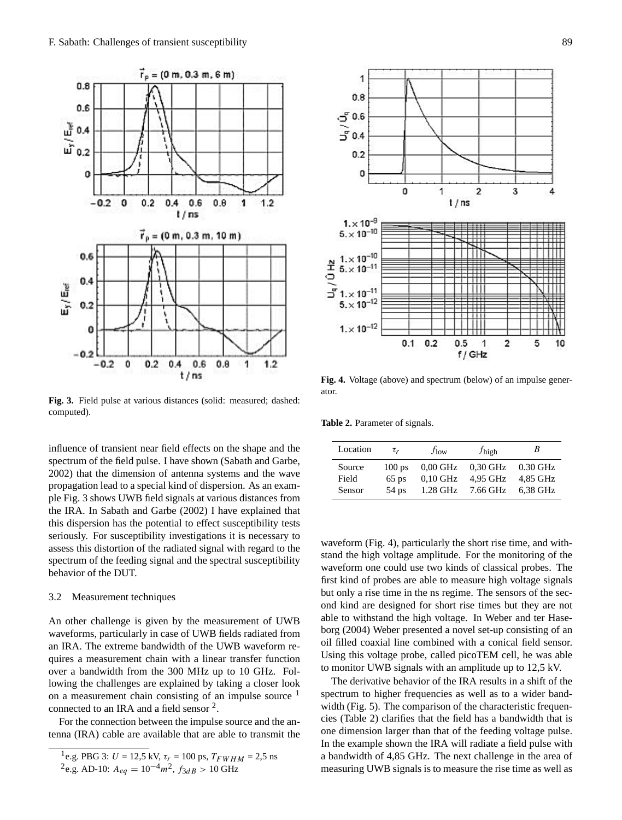

**Fig. 3.** Field pulse at various distances (solid: measured; dashed: **Fig. 3.** Field pulse at various distances (solid: measured; dashed: **Fig. 3.** Field pulse at various distances (solid: measured; dashed: computed). computed). computed).

spectrum of the field pulse. I have shown (Sabath and Garbe,  $2002$ ) that the dimension of antenna systems and the wave propagation lead to a special kind of dispersion. As an example Fig. 3 shows UWB field signals at various distances from the IRA. In Sabath and Garbe (2002) I have explained that 3.2 Measurement Techniques Seriously. For susceptibility investigations it is necessary to spectrum of the feeding signal and the spectral susceptibility<br>behavior of the DUT influence of transient near field effects on the shape and the this dispersion has the potential to effect susceptibility tests assess this distortion of the radiated signal with regard to the  $\frac{1}{2}$  behavior of the DUT.

# 3.2 Measurement techniques

An other challenge is given by the measurement of UWB waveforms, particularly in case of UWB fields radiated from<br>on a measurement consisting of an impulse source 1 an IRA. The extreme bandwidth of the UWB waveform requires a measurement chain with a linear transfer function puncs a measurement chain with a finear transfer function<br>over a bandwidth from the 300 MHz up to 10 GHz. Following the challenges are explained by taking a closer look on a measurement chain consisting of an impulse source <sup>1</sup> connected to an IRA and a field sensor  $2$ . an IRA. The extreme bandwidth of the UWB waveform re-

For the connection between the impulse source and the antenna (IRA) cable are available that are able to transmit the

second kind are designed for short rise times but they are not

```
n^2e.g. AD-10: A_{eq} = 10^{-4} m^2, f_{3dB} > 10 GHz
\ddotsc to \ddotsc and \ddotsc \ddotsc \ddotsc \ddotsc \ddotsc \ddotsc \ddotsc \ddotsc \ddotsc \ddotsc \ddotsc \ddotsc \ddotsc \ddotsc \ddotsc \ddotsc \ddotsc \ddotsc \ddotsc \ddotsc \ddotsc \ddotsc \ddotsc \ddotsc \ddotsc \ddotsc \ddotsc \ddotsc \ddot
```


**Fig. 4.** Voltage (above) and spectrum (below) of an impulse gener-Fig. 4. Voltage (above) of a spectrum (below) of a spectrum (below) of an impulse general general general general general general general general general general general general general general general general general gene **Fig. 4.** Voltage (above) and spectrum (below) of an impulse generator.

**Table 2.** Parameter of signals.

| Location      | $\tau_r$ | $f_{\text{low}}$                        | $f_{\text{high}}$ |  |
|---------------|----------|-----------------------------------------|-------------------|--|
| Source        |          | 100 ps $0.00$ GHz $0.30$ GHz $0.30$ GHz |                   |  |
| Field         |          | 65 ps 0,10 GHz 4,95 GHz 4,85 GHz        |                   |  |
| <b>Sensor</b> |          | 54 ps 1.28 GHz 7.66 GHz 6.38 GHz        |                   |  |

waveform (Fig. 4), particularly the short rise time, and withwaveform (Fig. 4), particularly the short rise time, and while<br>stand the high voltage amplitude. For the monitoring of the stand the high voltage unpriduct. To the momentum of the waveform one could use two kinds of classical probes. The first kind of probes are able to measure high voltage signals but only a rise time in the ns regime. The sensors of the second kind are designed for short rise times but they are not able to withstand the high voltage. In Weber and ter Hase- $\frac{1}{2}$  borg (2004) Weber presented a novel set-up consisting of an oil filled coaxial line combined with a conical field sensor.<br>Without a conical field sensor. USing this voltage proce, cancel processing. The was able to monitor UWB signals with an amplitude up to 12,5 kV. Using this voltage probe, called picoTEM cell, he was able

The derivative behavior of the IRA results in a shift of the  $\frac{1}{2}$ contrast to this, the conical sensors are characterized by a larger bandwidth. But the derivative behavior in combina-spectrum to higher frequencies as well as to a wider bandwidth (Fig. 5). The comparison of the characteristic frequencies (Table 2) clarifies that the field has a bandwidth that is measuring UWB signals is to measure the rise time as well as a bandwidth of 4,85 GHz. The next challenge in the area of one dimension larger than that of the feeding voltage pulse. In the example shown the IRA will radiate a field pulse with

 $\frac{1}{\log_{10} \text{PRG}^3 \cdot I - 125 \text{ kV}}$   $\tau_v = 100 \text{ ns}$   $T_{\text{FWHM}} = 25 \text{ ns}$ <sup>1</sup>e.g. PBG 3: U = 12,5 kV,  $\tau_r = 100$  ps,  $T_{FWHM} = 2.5$  ns<br><sup>2</sup>e.g. AD-10:  $A_{eq} = 10^{-4}m^2$ ,  $f_{3dB} > 10$  GHz  $\frac{1}{\sqrt{1-\frac{1}{\sqrt{1-\frac{1}{\sqrt{1-\frac{1}{\sqrt{1-\frac{1}{\sqrt{1-\frac{1}{\sqrt{1-\frac{1}{\sqrt{1-\frac{1}{\sqrt{1-\frac{1}{\sqrt{1-\frac{1}{\sqrt{1-\frac{1}{\sqrt{1-\frac{1}{\sqrt{1-\frac{1}{\sqrt{1-\frac{1}{\sqrt{1-\frac{1}{\sqrt{1-\frac{1}{\sqrt{1-\frac{1}{\sqrt{1-\frac{1}{\sqrt{1-\frac{1}{\sqrt{1-\frac{1}{\sqrt{1-\frac{1}{\sqrt{1-\frac{1}{\sqrt{1-\frac{1}{\sqrt{1-\frac{1}{\sqrt{1-\frac{1$  $s_{\text{e}}$ , the 3.  $\sigma = 12.3 \text{ K}$ ,  $v_r = 100 \text{ ps}$ ,  $r_{FWHM} = 2.3 \text{ m}$ <br> $s_{\text{e}}$   $\Delta \text{D} = 10 \text{ s}$   $\Delta \text{m} = 10^{-4} \text{ m}^2$   $f_{\text{e}}$   $\Delta \text{m} = 10 \text{ GHz}$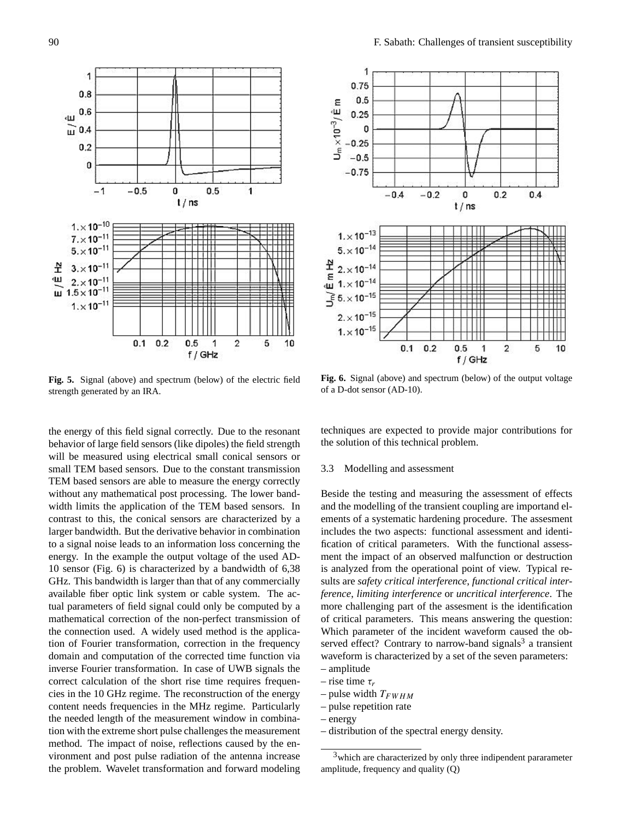

**Fig. 5.** Signal (above) and spectrum (below) of the electric field strength separated by an IBA strength generated by an IRA.

the energy of this held signal correctly. Due to the resonant<br>behavior of large field sensors (like dipoles) the field strength behavior of large field sensors (like dipoles) the field strength will be measured using electrical small conical sensors or and TEM based sensors. Due to the constant transmission TEM based sensors are able to measure the energy correctly without any mathematical post processing. The lower bandwidth limits the application of the TEM based sensors. In contrast to this, the conical sensors are characterized by a larger bandwidth. But the derivative behavior in combination to a signal noise leads to an information loss concerning the  $\frac{1}{2}$ energy. In the example the output voltage of the used AD-<br>10 separate (Fig. 6) is absorptioned by a hardwidth of 6.29 10 sensor (Fig. 6) is characterized by a bandwidth of  $6,38$ GHz. This bandwidth is larger than that of any commercially available not optic link system of cable system. The ac-<br>tual parameters of field signal could only be computed by a  $\frac{d}{dt}$  mathematical correction of the non-perfect transmission of the connection used. A widely used method is the application of Fourier transformation, correction in the frequency domain and computation of the corrected time function via inverse Fourier transformation. In case of UWB signals the correct calculation of the short rise time requires frequencies in the 10 GHz regime. The reconstruction of the energy the needed length of the measurement window in combinamethod. The impact of noise, reflections caused by the enmethod. The mipact of hoise, reflections caused by the en-<br>vironment and post pulse radiation of the antenna increase ements and post pulse radiation of the antenna increase<br>the problem. Wavelet transformation and forward modeling the energy of this field signal correctly. Due to the resonant critic rink cancelled to sager than that or any commercially content needs frequencies in the MHz regime. Particularly tion with the extreme short pulse challenges the measurement eme procedure. The vertex demonstration and for which models



**Fig. 6.** Signal (above) and spectrum (below) of the output voltage **Fig. 6.** Signal (above) and spectrum (below) of the output voltage of a D-dot sensor (AD-10). of an D-dot sensor (AD-10). **Fig. 6.** Signal (above) and spectrum (below) of the output voltage

sults are *safety critical interference*, *functional critical inter-*sults are *safety critical interference*, *functional critical inter-*the solution of this technical problem. *ference* or *uncrease* or *uncrease*. The *limiting interference*. techniques are expected to provide major contributions for

## 3.3 Modelling and assessment  $\overline{C}$

Beside the testing and measuring the assessment of effects and the modelling of the transient coupling are importand elements of a systematic hardening procedure. The assesment fication of critical parameters. With the functional assess*is* analyzed from the operational point of view. Typical re*ference*, *limiting interference* or *uncritical interference*. The of critical parameters. This means answering the question: served effect? Contrary to narrow-band signals<sup>3</sup> a transient includes the two aspects: functional assessment and identiment the impact of an observed malfunction or destruction sults are *safety critical interference*, *functional critical inter*more challenging part of the assesment is the identification Which parameter of the incident waveform caused the obwaveform is characterized by a set of the seven parameters:

- **b** distribution of the spectral energy density of the spectral energy density of the spectral energy density of the spectral energy density of the spectral energy density of the spectral energy density of the spectral ene **–** distribution of the spectral energy density – amplitude
- rise time  $\tau_r$
- pulse width  $T_{FWHM}$
- pulse repetition rate
	- of service are various candidates are various candidates are under discussion. Current candidates are under discussion. Current candidates are under discussion. Current candidates are under discussion. Current current curr – energy
- instribution of the spectral energy density.  $-\text{energy}$ <br>distribution of the spectral energy density. – distribution of the spectral energy density.

 $\frac{1}{\sqrt{2\pi}}$   $\frac{1}{\sqrt{2\pi}}$  are characterized by only three indipendent pararameter which are characterized by only<br>amplitude, frequency and quality (Q)  $\sum_{i=1}^{n}$  order to modell the coupling  $\sum_{i=1}^{n}$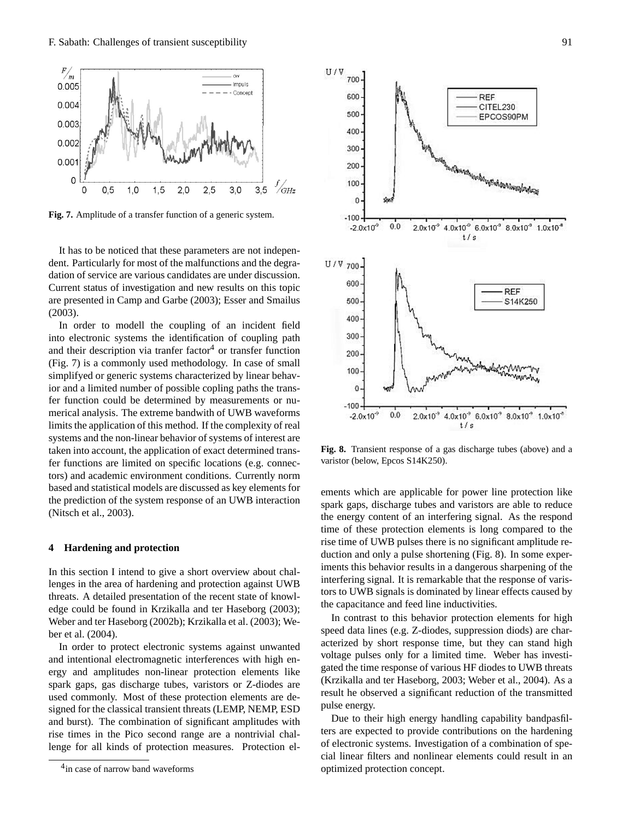

**Fig. 7.** Amplitude of a transfer function of a generic system. **Fig. 7.** Amplitude of a transfer function of a generic system.

It has to be noticed that these parameters are not independent. Particularly for most of the malfunctions and the degradation of service are various candidates are under discussion. Current status of investigation and new results on this topic are presented in Camp and Garbe (2003); Esser and Smailus<br>
<sup>2009</sup>  $(2003)$ . The extreme bandwith of UWB waveforms bandwith of UWB waveforms bandwith of UWB waveforms  $\sim$ (2003).

 $\frac{1}{2003}$ . In order to modell the coupling of an incident field into electronic systems the identification of coupling path and their description via tranfer factor<sup>4</sup> or transfer function  $(Fig. 7)$  is a commonly used methodology. In case of small simplifyed or generic systems characterized by linear behavior and a limited number of possible copling paths the transfer function could be determined by measurements or numerical analysis. The extreme bandwith of UWB waveforms the account, the approach of exact determined that<br>fer functions are limited on specific locations (e.g. connecbased and statistical models are discussed as key elements for based and statistical models are diseassed as key elements for the prediction of the system response of an UWB interaction<br>
(Nitseb at al. 2003)  $(2003)$ ; limits the application of this method. If the complexity of real systems and the non-linear behavior of systems of interest are systems and the non-linear behavior of systems of interest are taken into account, the application of exact determined transtors) and academic environment conditions. Currently norm (Nitsch et al., 2003).

# **4** Hardening and protection

In this section I intend to give a short overview about challenges in the area of hardening and protection against UWB lenges in the area of hardening and protection against UWB<br>threats. A detailed presentation of the recent state of knowledge could be found in Krzikalla and ter Haseborg (2003); Weber and ter Haseborg (2002b); Krzikalla et al. (2003); Weber et al.  $(2004)$ . threats. A detailed presentation of the recent state of knowl-In this section 1 intend to give a short overview about  $\mathcal{C}$ 

In order to protect electronic systems against unwanted and intentional electromagnetic interferences with high energy and amplitudes non-linear protection elements like ergy and amphones non-mear protection elements increased spark gaps, gas discharge tubes, varistors or Z-diodes are  $t_{\text{p}}$  and  $t_{\text{p}}$  and  $t_{\text{p}}$  and  $t_{\text{p}}$  are designed for the classical transient threats (LEMP, NEMP, ESD and burst). The combination of significant amplitudes with rise times in the Pico second range are a nontrivial challenge for all kinds of protection measures. Protection el-



aristor (below, Epcos S14K250). **Fig. 8.** Transient response of a gas discharge tubes (above) and a varietor (below **Frage S14K250**) varistor (below, Epcos S14K250). varistor (below, Epcos S14K250).

ements which are applicable for power line protection like spectrum with the uppression for power line protection like the energy content of an interfering signal. As the respond time of these protection elements is long compared to the In contrast to the time of threats to the time of UWB pulses there is no significant amplitude re- $\frac{d}{dx}$  and  $\frac{d}{dx}$  are  $\frac{d}{dx}$  are characteris are suppression and only a pulse shortening (Fig. 8). In some experiments this behavior results in a dangerous sharpening of the interfering signal. It is remarkable that the response of varistors to UWB signals is dominated by linear effects caused by the capacitance and feed line inductivities. spark gaps, discharge tubes and varistors are able to reduce

In contrast to this behavior protection elements for high<br>In contrast to this behavior protection elements for high m contrast to this ochavior protection elements for high<br>speed data lines (e.g. Z-diodes, suppression diods) are characterized by short response time, but they can stand high gated the time response of various HF diodes to UWB threats result he observed a significant reduction of the transmitted the energy.  $\frac{1}{2}$  and  $\frac{1}{2}$  computation of electromagvoltage pulses only for a limited time. Weber has investi-(Krzikalla and ter Haseborg, 2003; Weber et al., 2004). As a pulse energy.

Due to their nigh energy handling capability bandpashiters are expected to provide contributions on the hardening of electronic systems. Investigation of a combination of spe-<br>
sial linear filters and nonlinear elements sould result in an cial linear filters and nonlinear elements could result in an optimized protection concept. puise energy.<br>Due to their high energy handling capability bandpasfil- $S<sub>1</sub>$  and  $S<sub>2</sub>$  susception concept.

 $\frac{4}{10}$  case of narrow band waveforms